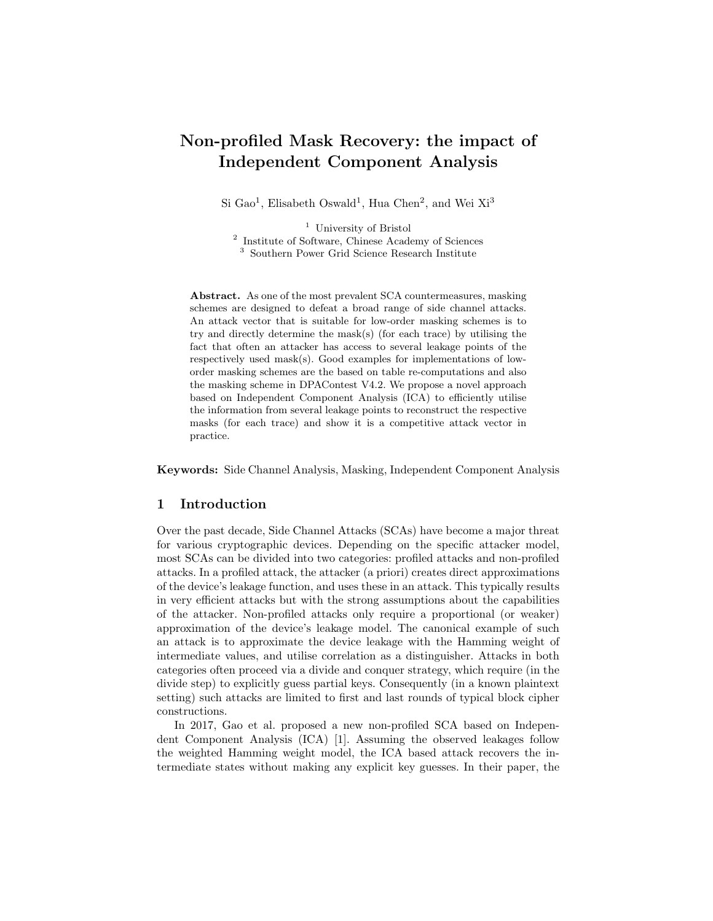# Non-profiled Mask Recovery: the impact of Independent Component Analysis

Si Gao<sup>1</sup>, Elisabeth Oswald<sup>1</sup>, Hua Chen<sup>2</sup>, and Wei Xi<sup>3</sup>

<sup>1</sup> University of Bristol 2 Institute of Software, Chinese Academy of Sciences <sup>3</sup> Southern Power Grid Science Research Institute

Abstract. As one of the most prevalent SCA countermeasures, masking schemes are designed to defeat a broad range of side channel attacks. An attack vector that is suitable for low-order masking schemes is to try and directly determine the mask(s) (for each trace) by utilising the fact that often an attacker has access to several leakage points of the respectively used mask(s). Good examples for implementations of loworder masking schemes are the based on table re-computations and also the masking scheme in DPAContest V4.2. We propose a novel approach based on Independent Component Analysis (ICA) to efficiently utilise the information from several leakage points to reconstruct the respective masks (for each trace) and show it is a competitive attack vector in practice.

Keywords: Side Channel Analysis, Masking, Independent Component Analysis

# 1 Introduction

Over the past decade, Side Channel Attacks (SCAs) have become a major threat for various cryptographic devices. Depending on the specific attacker model, most SCAs can be divided into two categories: profiled attacks and non-profiled attacks. In a profiled attack, the attacker (a priori) creates direct approximations of the device's leakage function, and uses these in an attack. This typically results in very efficient attacks but with the strong assumptions about the capabilities of the attacker. Non-profiled attacks only require a proportional (or weaker) approximation of the device's leakage model. The canonical example of such an attack is to approximate the device leakage with the Hamming weight of intermediate values, and utilise correlation as a distinguisher. Attacks in both categories often proceed via a divide and conquer strategy, which require (in the divide step) to explicitly guess partial keys. Consequently (in a known plaintext setting) such attacks are limited to first and last rounds of typical block cipher constructions.

In 2017, Gao et al. proposed a new non-profiled SCA based on Independent Component Analysis (ICA) [\[1\]](#page-12-0). Assuming the observed leakages follow the weighted Hamming weight model, the ICA based attack recovers the intermediate states without making any explicit key guesses. In their paper, the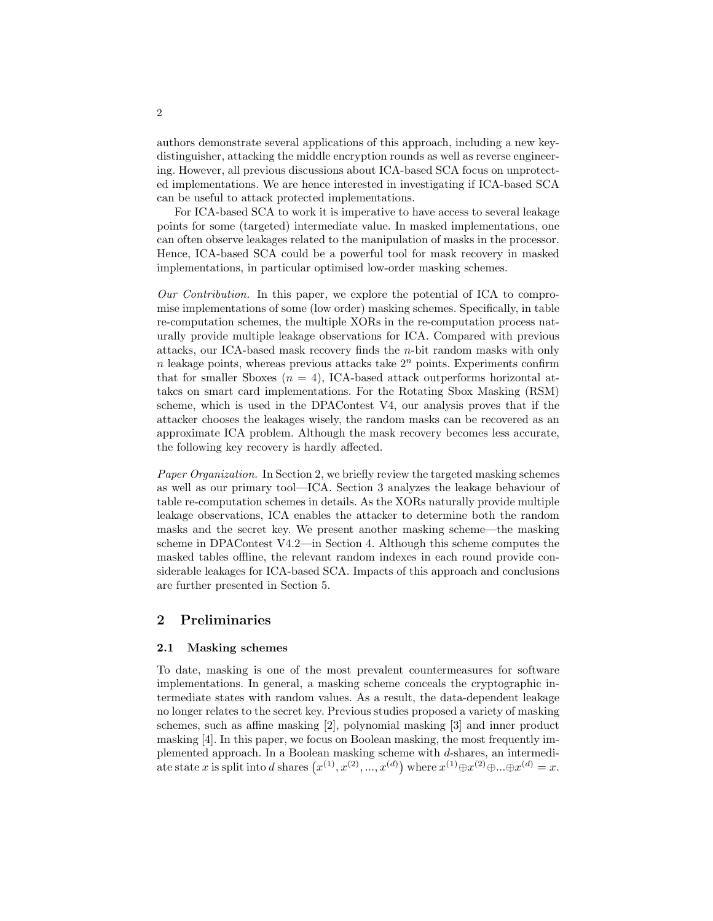authors demonstrate several applications of this approach, including a new keydistinguisher, attacking the middle encryption rounds as well as reverse engineering. However, all previous discussions about ICA-based SCA focus on unprotected implementations. We are hence interested in investigating if ICA-based SCA can be useful to attack protected implementations.

For ICA-based SCA to work it is imperative to have access to several leakage points for some (targeted) intermediate value. In masked implementations, one can often observe leakages related to the manipulation of masks in the processor. Hence, ICA-based SCA could be a powerful tool for mask recovery in masked implementations, in particular optimised low-order masking schemes.

Our Contribution. In this paper, we explore the potential of ICA to compromise implementations of some (low order) masking schemes. Specifically, in table re-computation schemes, the multiple XORs in the re-computation process naturally provide multiple leakage observations for ICA. Compared with previous attacks, our ICA-based mask recovery finds the n-bit random masks with only n leakage points, whereas previous attacks take  $2<sup>n</sup>$  points. Experiments confirm that for smaller Sboxes  $(n = 4)$ , ICA-based attack outperforms horizontal attakcs on smart card implementations. For the Rotating Sbox Masking (RSM) scheme, which is used in the DPAContest V4, our analysis proves that if the attacker chooses the leakages wisely, the random masks can be recovered as an approximate ICA problem. Although the mask recovery becomes less accurate, the following key recovery is hardly affected.

Paper Organization. In Section [2,](#page-1-0) we briefly review the targeted masking schemes as well as our primary tool—ICA. Section 3 analyzes the leakage behaviour of table re-computation schemes in details. As the XORs naturally provide multiple leakage observations, ICA enables the attacker to determine both the random masks and the secret key. We present another masking scheme—the masking scheme in DPAContest V4.2—in Section 4. Although this scheme computes the masked tables offline, the relevant random indexes in each round provide considerable leakages for ICA-based SCA. Impacts of this approach and conclusions are further presented in Section 5.

# <span id="page-1-0"></span>2 Preliminaries

### 2.1 Masking schemes

To date, masking is one of the most prevalent countermeasures for software implementations. In general, a masking scheme conceals the cryptographic intermediate states with random values. As a result, the data-dependent leakage no longer relates to the secret key. Previous studies proposed a variety of masking schemes, such as affine masking [\[2\]](#page-12-1), polynomial masking [\[3\]](#page-12-2) and inner product masking [\[4\]](#page-12-3). In this paper, we focus on Boolean masking, the most frequently implemented approach. In a Boolean masking scheme with d-shares, an intermediate state x is split into d shares  $(x^{(1)}, x^{(2)}, ..., x^{(d)})$  where  $x^{(1)} \oplus x^{(2)} \oplus ... \oplus x^{(d)} = x$ .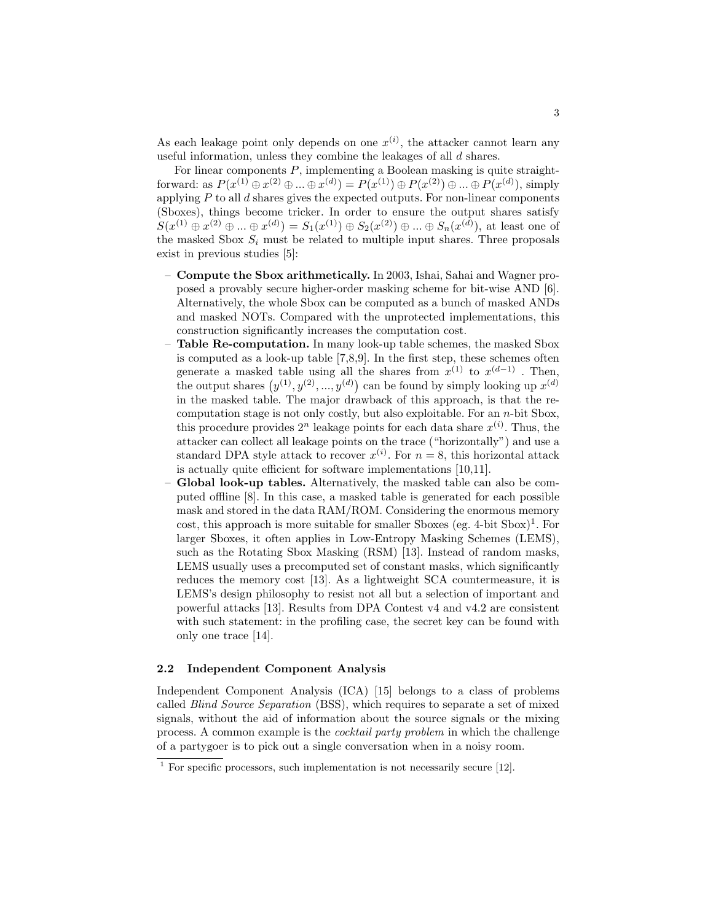As each leakage point only depends on one  $x^{(i)}$ , the attacker cannot learn any useful information, unless they combine the leakages of all d shares.

For linear components P, implementing a Boolean masking is quite straightforward: as  $P(x^{(1)} \oplus x^{(2)} \oplus ... \oplus x^{(d)}) = P(x^{(1)}) \oplus P(x^{(2)}) \oplus ... \oplus P(x^{(d)})$ , simply applying  $P$  to all  $d$  shares gives the expected outputs. For non-linear components (Sboxes), things become tricker. In order to ensure the output shares satisfy  $S(x^{(1)} \oplus x^{(2)} \oplus ... \oplus x^{(d)}) = S_1(x^{(1)}) \oplus S_2(x^{(2)}) \oplus ... \oplus S_n(x^{(d)})$ , at least one of the masked Sbox  $S_i$  must be related to multiple input shares. Three proposals exist in previous studies [\[5\]](#page-12-4):

- Compute the Sbox arithmetically. In 2003, Ishai, Sahai and Wagner proposed a provably secure higher-order masking scheme for bit-wise AND [\[6\]](#page-12-5). Alternatively, the whole Sbox can be computed as a bunch of masked ANDs and masked NOTs. Compared with the unprotected implementations, this construction significantly increases the computation cost.
- Table Re-computation. In many look-up table schemes, the masked Sbox is computed as a look-up table [\[7,](#page-12-6)[8,](#page-12-7)[9\]](#page-13-0). In the first step, these schemes often generate a masked table using all the shares from  $x^{(1)}$  to  $x^{(d-1)}$ . Then, the output shares  $(y^{(1)}, y^{(2)}, ..., y^{(d)})$  can be found by simply looking up  $x^{(d)}$ in the masked table. The major drawback of this approach, is that the recomputation stage is not only costly, but also exploitable. For an n-bit Sbox, this procedure provides  $2^n$  leakage points for each data share  $x^{(i)}$ . Thus, the attacker can collect all leakage points on the trace ("horizontally") and use a standard DPA style attack to recover  $x^{(i)}$ . For  $n = 8$ , this horizontal attack is actually quite efficient for software implementations [\[10,](#page-13-1)[11\]](#page-13-2).
- Global look-up tables. Alternatively, the masked table can also be computed offline [\[8\]](#page-12-7). In this case, a masked table is generated for each possible mask and stored in the data RAM/ROM. Considering the enormous memory  $\cos t$ , this approach is more suitable for smaller Sboxes (eg. 4-bit Sbox)<sup>[1](#page-2-0)</sup>. For larger Sboxes, it often applies in Low-Entropy Masking Schemes (LEMS), such as the Rotating Sbox Masking (RSM) [\[13\]](#page-13-3). Instead of random masks, LEMS usually uses a precomputed set of constant masks, which significantly reduces the memory cost [\[13\]](#page-13-3). As a lightweight SCA countermeasure, it is LEMS's design philosophy to resist not all but a selection of important and powerful attacks [\[13\]](#page-13-3). Results from DPA Contest v4 and v4.2 are consistent with such statement: in the profiling case, the secret key can be found with only one trace [\[14\]](#page-13-4).

### 2.2 Independent Component Analysis

Independent Component Analysis (ICA) [\[15\]](#page-13-5) belongs to a class of problems called Blind Source Separation (BSS), which requires to separate a set of mixed signals, without the aid of information about the source signals or the mixing process. A common example is the cocktail party problem in which the challenge of a partygoer is to pick out a single conversation when in a noisy room.

<span id="page-2-0"></span> $1$  For specific processors, such implementation is not necessarily secure [\[12\]](#page-13-6).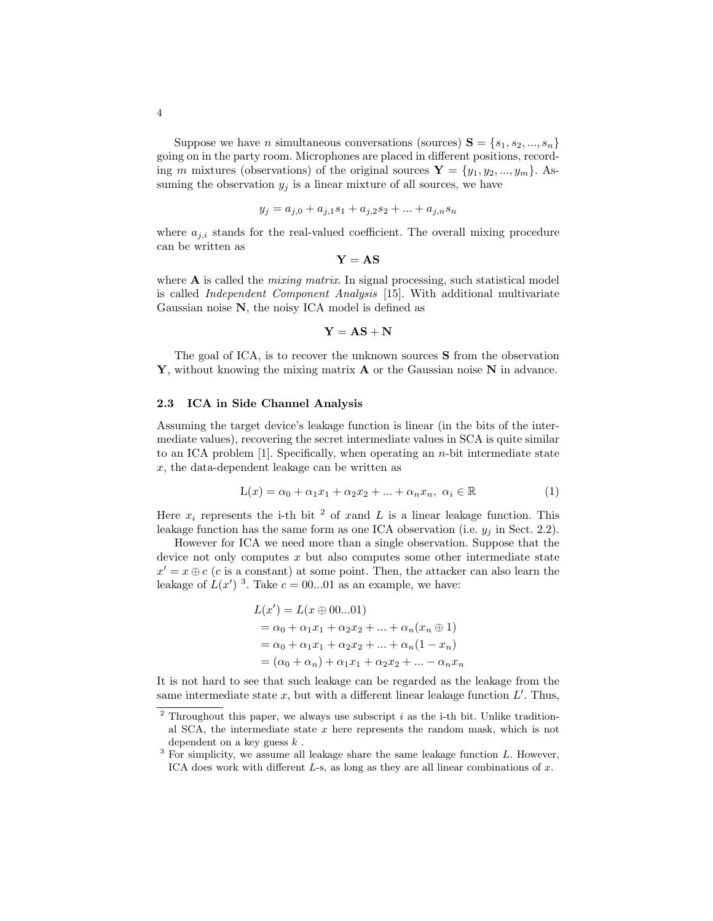Suppose we have *n* simultaneous conversations (sources)  $S = \{s_1, s_2, ..., s_n\}$ going on in the party room. Microphones are placed in different positions, recording m mixtures (observations) of the original sources  $\mathbf{Y} = \{y_1, y_2, ..., y_m\}$ . Assuming the observation  $y_j$  is a linear mixture of all sources, we have

$$
y_j = a_{j,0} + a_{j,1}s_1 + a_{j,2}s_2 + \dots + a_{j,n}s_n
$$

where  $a_{j,i}$  stands for the real-valued coefficient. The overall mixing procedure can be written as

$$
\mathbf{Y} = \mathbf{A}\mathbf{S}
$$

where  $A$  is called the *mixing matrix*. In signal processing, such statistical model is called Independent Component Analysis [\[15\]](#page-13-5). With additional multivariate Gaussian noise N, the noisy ICA model is defined as

$$
\mathbf{Y} = \mathbf{A}\mathbf{S} + \mathbf{N}
$$

The goal of ICA, is to recover the unknown sources S from the observation Y, without knowing the mixing matrix **A** or the Gaussian noise N in advance.

## 2.3 ICA in Side Channel Analysis

Assuming the target device's leakage function is linear (in the bits of the intermediate values), recovering the secret intermediate values in SCA is quite similar to an ICA problem  $[1]$ . Specifically, when operating an *n*-bit intermediate state x, the data-dependent leakage can be written as

$$
L(x) = \alpha_0 + \alpha_1 x_1 + \alpha_2 x_2 + \dots + \alpha_n x_n, \ \alpha_i \in \mathbb{R}
$$
 (1)

Here  $x_i$  represents the i-th bit <sup>[2](#page-3-0)</sup> of xand L is a linear leakage function. This leakage function has the same form as one ICA observation (i.e.  $y_i$  in Sect. 2.2).

However for ICA we need more than a single observation. Suppose that the device not only computes  $x$  but also computes some other intermediate state  $x' = x \oplus c$  (c is a constant) at some point. Then, the attacker can also learn the leakage of  $L(x')$ <sup>[3](#page-3-1)</sup>. Take  $c = 00...01$  as an example, we have:

$$
L(x') = L(x \oplus 00...01)
$$
  
=  $\alpha_0 + \alpha_1 x_1 + \alpha_2 x_2 + ... + \alpha_n (x_n \oplus 1)$   
=  $\alpha_0 + \alpha_1 x_1 + \alpha_2 x_2 + ... + \alpha_n (1 - x_n)$   
=  $(\alpha_0 + \alpha_n) + \alpha_1 x_1 + \alpha_2 x_2 + ... - \alpha_n x_n$ 

It is not hard to see that such leakage can be regarded as the leakage from the same intermediate state  $x$ , but with a different linear leakage function  $L'$ . Thus,

<span id="page-3-0"></span> $\frac{2}{3}$  Throughout this paper, we always use subscript i as the i-th bit. Unlike traditional SCA, the intermediate state  $x$  here represents the random mask, which is not dependent on a key guess  $k$ .

<span id="page-3-1"></span> $3$  For simplicity, we assume all leakage share the same leakage function  $L$ . However, ICA does work with different  $L$ -s, as long as they are all linear combinations of  $x$ .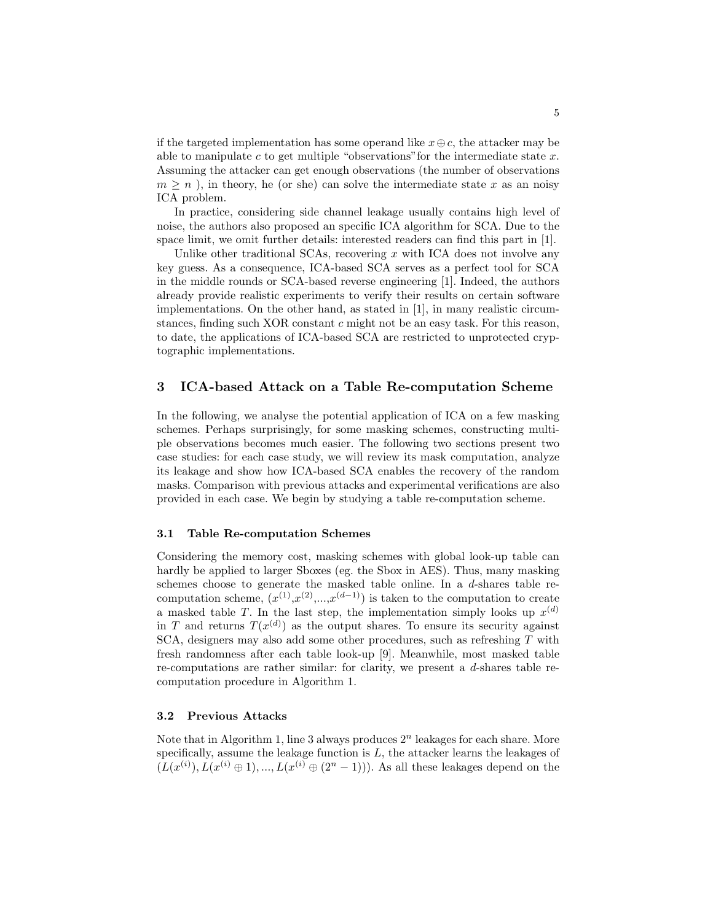if the targeted implementation has some operand like  $x \oplus c$ , the attacker may be able to manipulate c to get multiple "observations" for the intermediate state  $x$ . Assuming the attacker can get enough observations (the number of observations  $m \geq n$ , in theory, he (or she) can solve the intermediate state x as an noisy ICA problem.

In practice, considering side channel leakage usually contains high level of noise, the authors also proposed an specific ICA algorithm for SCA. Due to the space limit, we omit further details: interested readers can find this part in [\[1\]](#page-12-0).

Unlike other traditional SCAs, recovering  $x$  with ICA does not involve any key guess. As a consequence, ICA-based SCA serves as a perfect tool for SCA in the middle rounds or SCA-based reverse engineering [\[1\]](#page-12-0). Indeed, the authors already provide realistic experiments to verify their results on certain software implementations. On the other hand, as stated in [\[1\]](#page-12-0), in many realistic circumstances, finding such XOR constant c might not be an easy task. For this reason, to date, the applications of ICA-based SCA are restricted to unprotected cryptographic implementations.

# 3 ICA-based Attack on a Table Re-computation Scheme

In the following, we analyse the potential application of ICA on a few masking schemes. Perhaps surprisingly, for some masking schemes, constructing multiple observations becomes much easier. The following two sections present two case studies: for each case study, we will review its mask computation, analyze its leakage and show how ICA-based SCA enables the recovery of the random masks. Comparison with previous attacks and experimental verifications are also provided in each case. We begin by studying a table re-computation scheme.

#### 3.1 Table Re-computation Schemes

Considering the memory cost, masking schemes with global look-up table can hardly be applied to larger Sboxes (eg. the Sbox in AES). Thus, many masking schemes choose to generate the masked table online. In a d-shares table recomputation scheme,  $(x^{(1)}, x^{(2)},...,x^{(d-1)})$  is taken to the computation to create a masked table T. In the last step, the implementation simply looks up  $x^{(d)}$ in T and returns  $T(x^{(d)})$  as the output shares. To ensure its security against SCA, designers may also add some other procedures, such as refreshing T with fresh randomness after each table look-up [\[9\]](#page-13-0). Meanwhile, most masked table re-computations are rather similar: for clarity, we present a d-shares table recomputation procedure in Algorithm 1.

## 3.2 Previous Attacks

Note that in Algorithm 1, line 3 always produces  $2<sup>n</sup>$  leakages for each share. More specifically, assume the leakage function is  $L$ , the attacker learns the leakages of  $(L(x^{(i)}), L(x^{(i)} \oplus 1), ..., L(x^{(i)} \oplus (2^n - 1)))$ . As all these leakages depend on the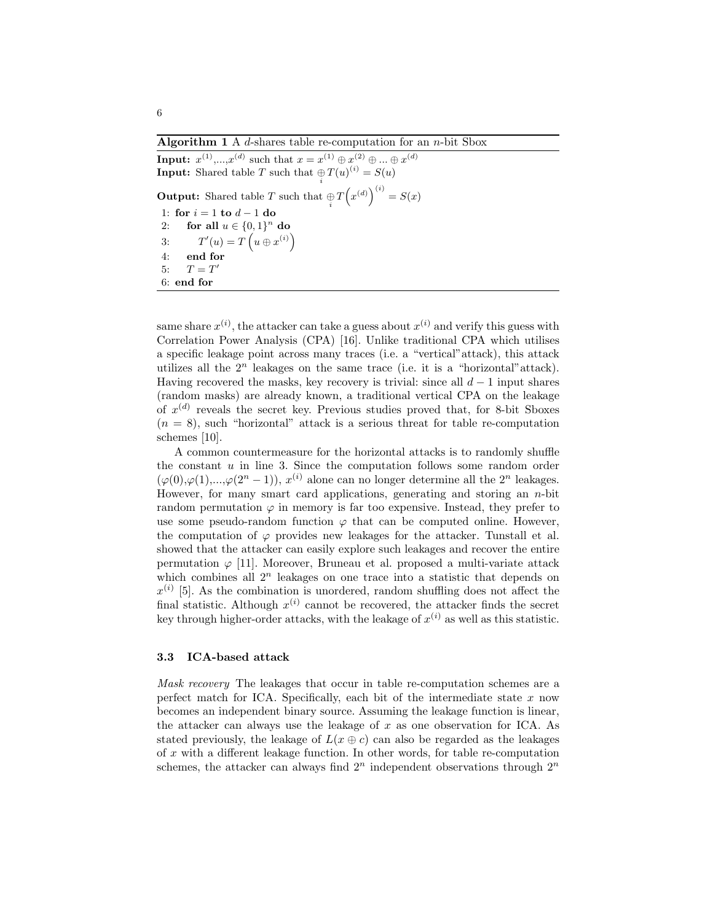**Algorithm 1** A d-shares table re-computation for an  $n$ -bit Sbox

**Input:**  $x^{(1)},...,x^{(d)}$  such that  $x = x^{(1)} \oplus x^{(2)} \oplus ... \oplus x^{(d)}$ **Input:** Shared table T such that  $\bigoplus_i T(u)^{(i)} = S(u)$ **Output:** Shared table T such that  $\bigoplus_i T(x^{(d)})^{(i)} = S(x)$ 1: for  $i = 1$  to  $d - 1$  do 2: for all  $u \in \{0,1\}^n$  do 3:  $T'(u) = T(u \oplus x^{(i)})$ 4: end for 5:  $T = T'$ 6: end for

same share  $x^{(i)}$ , the attacker can take a guess about  $x^{(i)}$  and verify this guess with Correlation Power Analysis (CPA) [\[16\]](#page-13-7). Unlike traditional CPA which utilises a specific leakage point across many traces (i.e. a "vertical"attack), this attack utilizes all the  $2^n$  leakages on the same trace (i.e. it is a "horizontal" attack). Having recovered the masks, key recovery is trivial: since all  $d-1$  input shares (random masks) are already known, a traditional vertical CPA on the leakage of  $x^{(d)}$  reveals the secret key. Previous studies proved that, for 8-bit Sboxes  $(n = 8)$ , such "horizontal" attack is a serious threat for table re-computation schemes [\[10\]](#page-13-1).

A common countermeasure for the horizontal attacks is to randomly shuffle the constant  $u$  in line 3. Since the computation follows some random order  $(\varphi(0), \varphi(1), \ldots, \varphi(2^{n}-1)), x^{(i)}$  alone can no longer determine all the  $2^{n}$  leakages. However, for many smart card applications, generating and storing an  $n$ -bit random permutation  $\varphi$  in memory is far too expensive. Instead, they prefer to use some pseudo-random function  $\varphi$  that can be computed online. However, the computation of  $\varphi$  provides new leakages for the attacker. Tunstall et al. showed that the attacker can easily explore such leakages and recover the entire permutation  $\varphi$  [\[11\]](#page-13-2). Moreover, Bruneau et al. proposed a multi-variate attack which combines all  $2^n$  leakages on one trace into a statistic that depends on  $x^{(i)}$  [\[5\]](#page-12-4). As the combination is unordered, random shuffling does not affect the final statistic. Although  $x^{(i)}$  cannot be recovered, the attacker finds the secret key through higher-order attacks, with the leakage of  $x^{(i)}$  as well as this statistic.

### 3.3 ICA-based attack

Mask recovery The leakages that occur in table re-computation schemes are a perfect match for ICA. Specifically, each bit of the intermediate state  $x$  now becomes an independent binary source. Assuming the leakage function is linear, the attacker can always use the leakage of  $x$  as one observation for ICA. As stated previously, the leakage of  $L(x \oplus c)$  can also be regarded as the leakages of  $x$  with a different leakage function. In other words, for table re-computation schemes, the attacker can always find  $2^n$  independent observations through  $2^n$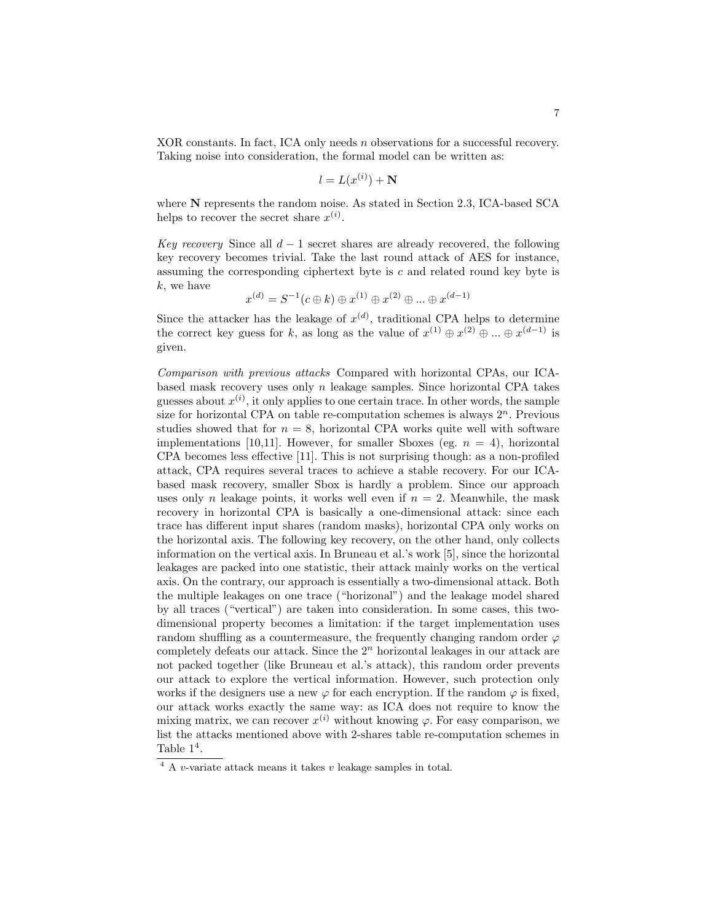XOR constants. In fact, ICA only needs n observations for a successful recovery. Taking noise into consideration, the formal model can be written as:

$$
l = L(x^{(i)}) + \mathbf{N}
$$

where N represents the random noise. As stated in Section 2.3, ICA-based SCA helps to recover the secret share  $x^{(i)}$ .

Key recovery Since all  $d-1$  secret shares are already recovered, the following key recovery becomes trivial. Take the last round attack of AES for instance, assuming the corresponding ciphertext byte is c and related round key byte is k, we have

$$
x^{(d)} = S^{-1}(c \oplus k) \oplus x^{(1)} \oplus x^{(2)} \oplus ... \oplus x^{(d-1)}
$$

Since the attacker has the leakage of  $x^{(d)}$ , traditional CPA helps to determine the correct key guess for k, as long as the value of  $x^{(1)} \oplus x^{(2)} \oplus ... \oplus x^{(d-1)}$  is given.

Comparison with previous attacks Compared with horizontal CPAs, our ICAbased mask recovery uses only n leakage samples. Since horizontal CPA takes guesses about  $x^{(i)}$ , it only applies to one certain trace. In other words, the sample size for horizontal CPA on table re-computation schemes is always  $2<sup>n</sup>$ . Previous studies showed that for  $n = 8$ , horizontal CPA works quite well with software implementations [\[10,](#page-13-1)[11\]](#page-13-2). However, for smaller Sboxes (eg.  $n = 4$ ), horizontal CPA becomes less effective [\[11\]](#page-13-2). This is not surprising though: as a non-profiled attack, CPA requires several traces to achieve a stable recovery. For our ICAbased mask recovery, smaller Sbox is hardly a problem. Since our approach uses only n leakage points, it works well even if  $n = 2$ . Meanwhile, the mask recovery in horizontal CPA is basically a one-dimensional attack: since each trace has different input shares (random masks), horizontal CPA only works on the horizontal axis. The following key recovery, on the other hand, only collects information on the vertical axis. In Bruneau et al.'s work [\[5\]](#page-12-4), since the horizontal leakages are packed into one statistic, their attack mainly works on the vertical axis. On the contrary, our approach is essentially a two-dimensional attack. Both the multiple leakages on one trace ("horizonal") and the leakage model shared by all traces ("vertical") are taken into consideration. In some cases, this twodimensional property becomes a limitation: if the target implementation uses random shuffling as a countermeasure, the frequently changing random order  $\varphi$ completely defeats our attack. Since the  $2<sup>n</sup>$  horizontal leakages in our attack are not packed together (like Bruneau et al.'s attack), this random order prevents our attack to explore the vertical information. However, such protection only works if the designers use a new  $\varphi$  for each encryption. If the random  $\varphi$  is fixed, our attack works exactly the same way: as ICA does not require to know the mixing matrix, we can recover  $x^{(i)}$  without knowing  $\varphi$ . For easy comparison, we list the attacks mentioned above with 2-shares table re-computation schemes in Table  $1<sup>4</sup>$  $1<sup>4</sup>$  $1<sup>4</sup>$ .

<span id="page-6-0"></span> $4 A v$ -variate attack means it takes v leakage samples in total.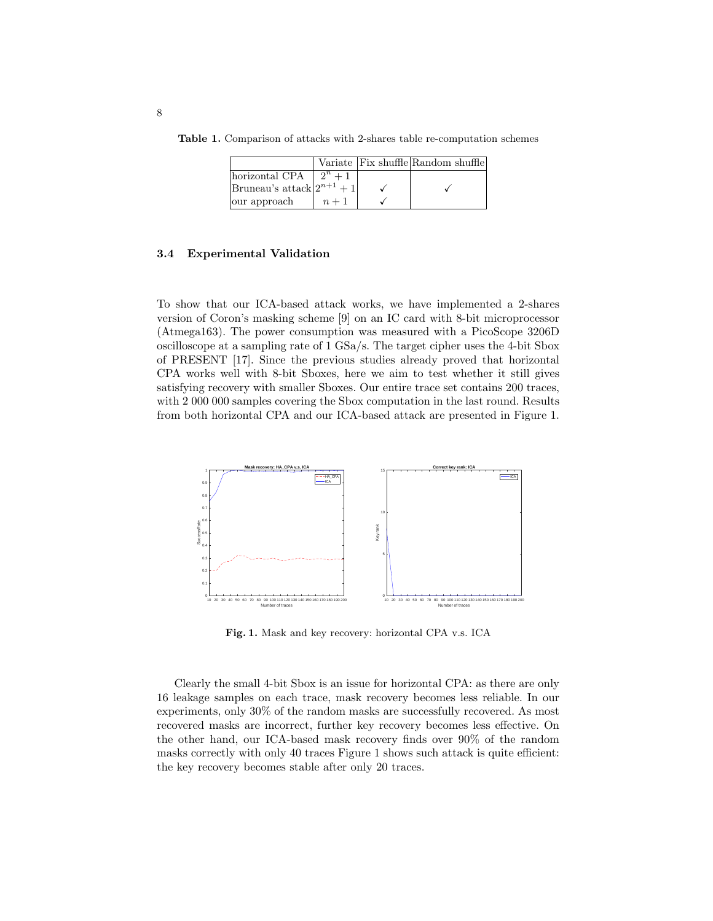Table 1. Comparison of attacks with 2-shares table re-computation schemes

|                                |                    | Variate Fix shuffle Random shuffle |
|--------------------------------|--------------------|------------------------------------|
| horizontal CPA                 | $\binom{2^n+1}{n}$ |                                    |
| Bruneau's attack $ 2^{n+1}+1 $ |                    |                                    |
| our approach                   | $n+1$              |                                    |

#### 3.4 Experimental Validation

To show that our ICA-based attack works, we have implemented a 2-shares version of Coron's masking scheme [\[9\]](#page-13-0) on an IC card with 8-bit microprocessor (Atmega163). The power consumption was measured with a PicoScope 3206D oscilloscope at a sampling rate of 1 GSa/s. The target cipher uses the 4-bit Sbox of PRESENT [\[17\]](#page-13-8). Since the previous studies already proved that horizontal CPA works well with 8-bit Sboxes, here we aim to test whether it still gives satisfying recovery with smaller Sboxes. Our entire trace set contains 200 traces, with 2 000 000 samples covering the Sbox computation in the last round. Results from both horizontal CPA and our ICA-based attack are presented in Figure 1.



Fig. 1. Mask and key recovery: horizontal CPA v.s. ICA

Clearly the small 4-bit Sbox is an issue for horizontal CPA: as there are only 16 leakage samples on each trace, mask recovery becomes less reliable. In our experiments, only 30% of the random masks are successfully recovered. As most recovered masks are incorrect, further key recovery becomes less effective. On the other hand, our ICA-based mask recovery finds over 90% of the random masks correctly with only 40 traces Figure 1 shows such attack is quite efficient: the key recovery becomes stable after only 20 traces.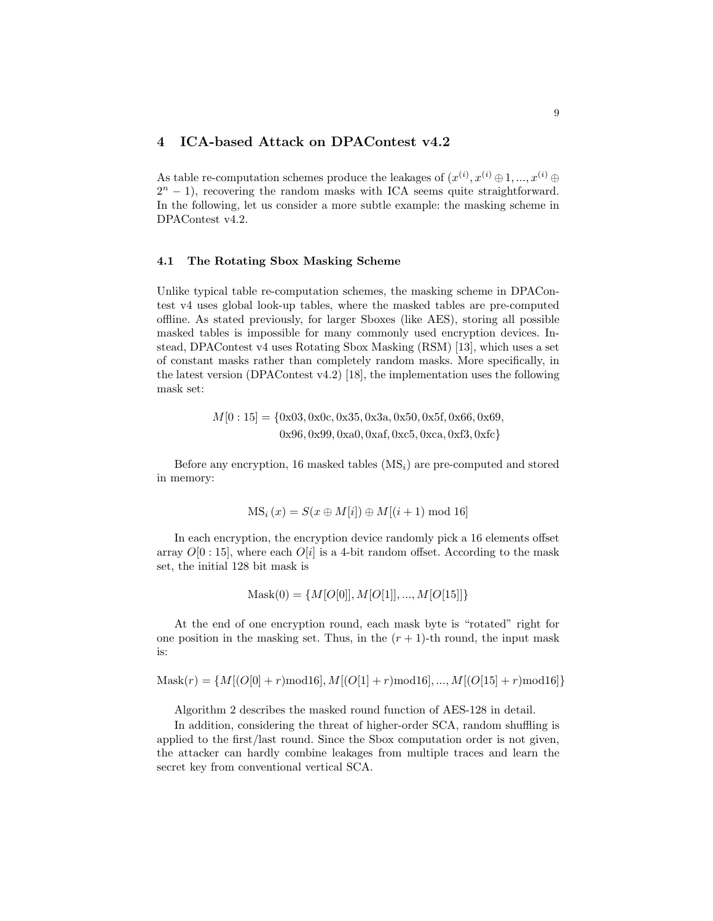# 4 ICA-based Attack on DPAContest v4.2

As table re-computation schemes produce the leakages of  $(x^{(i)}, x^{(i)} \oplus 1, ..., x^{(i)} \oplus$  $2<sup>n</sup> - 1$ , recovering the random masks with ICA seems quite straightforward. In the following, let us consider a more subtle example: the masking scheme in DPAContest v4.2.

### 4.1 The Rotating Sbox Masking Scheme

Unlike typical table re-computation schemes, the masking scheme in DPAContest v4 uses global look-up tables, where the masked tables are pre-computed offline. As stated previously, for larger Sboxes (like AES), storing all possible masked tables is impossible for many commonly used encryption devices. Instead, DPAContest v4 uses Rotating Sbox Masking (RSM) [\[13\]](#page-13-3), which uses a set of constant masks rather than completely random masks. More specifically, in the latest version (DPAContest v4.2) [\[18\]](#page-13-9), the implementation uses the following mask set:

> $M[0:15] = \{0x03, 0x0c, 0x35, 0x3a, 0x50, 0x5f, 0x66, 0x69,$ 0x96, 0x99, 0xa0, 0xaf, 0xc5, 0xca, 0xf3, 0xfc}

Before any encryption, 16 masked tables  $(MS_i)$  are pre-computed and stored in memory:

$$
MS_i(x) = S(x \oplus M[i]) \oplus M[(i+1) \mod 16]
$$

In each encryption, the encryption device randomly pick a 16 elements offset array  $O[0:15]$ , where each  $O[i]$  is a 4-bit random offset. According to the mask set, the initial 128 bit mask is

$$
Mask(0) = \{M[O[0]], M[O[1]], ..., M[O[15]]\}
$$

At the end of one encryption round, each mask byte is "rotated" right for one position in the masking set. Thus, in the  $(r + 1)$ -th round, the input mask is:

 $Mask(r) = \{M[(O[0] + r) \text{mod} 16], M[(O[1] + r) \text{mod} 16], ..., M[(O[15] + r) \text{mod} 16]\}$ 

Algorithm 2 describes the masked round function of AES-128 in detail.

In addition, considering the threat of higher-order SCA, random shuffling is applied to the first/last round. Since the Sbox computation order is not given, the attacker can hardly combine leakages from multiple traces and learn the secret key from conventional vertical SCA.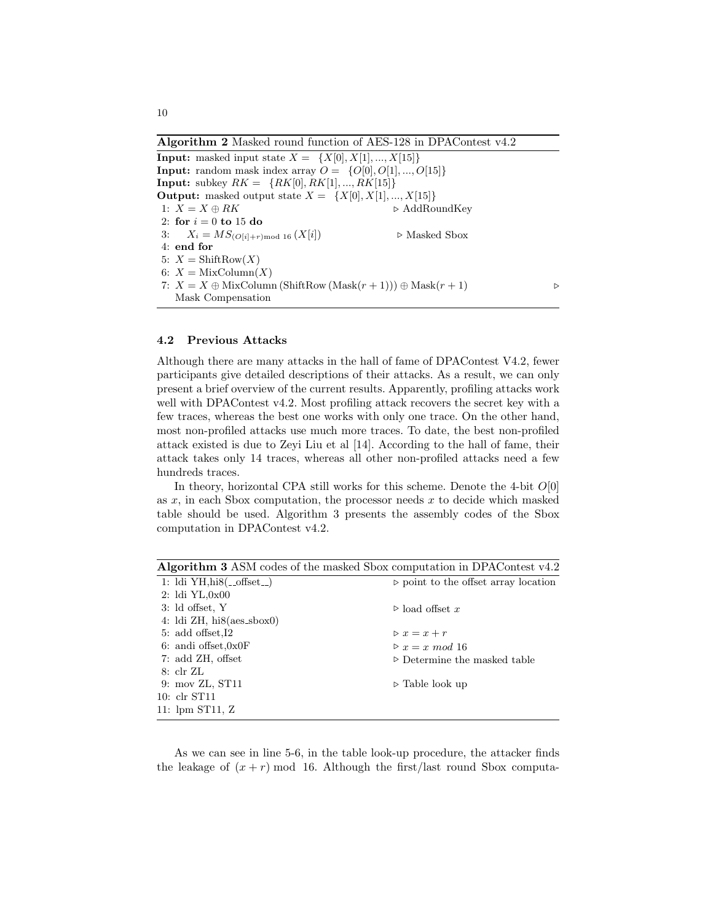Algorithm 2 Masked round function of AES-128 in DPAContest v4.2

**Input:** masked input state  $X = \{X[0], X[1], ..., X[15]\}$ **Input:** random mask index array  $O = \{O[0], O[1], ..., O[15]\}$ **Input:** subkey  $RK = \{RK[0], RK[1], ..., RK[15]\}$ **Output:** masked output state  $X = \{X[0], X[1], ..., X[15]\}$ 1:  $X = X \oplus RK$  .  $\triangleright$  AddRoundKey 2: for  $i = 0$  to 15 do 3:  $X_i = MS_{(O[i]+r) \text{mod } 16} (X[i])$   $\triangleright$  Masked Sbox 4: end for 5:  $X = \text{ShiftRow}(X)$ 6:  $X = \text{MixColumn}(X)$ 7:  $X = X \oplus \text{MixColumn (ShiftRow (Mask}(r+1))) \oplus \text{Mask}(r+1)$ Mask Compensation

## 4.2 Previous Attacks

Although there are many attacks in the hall of fame of DPAContest V4.2, fewer participants give detailed descriptions of their attacks. As a result, we can only present a brief overview of the current results. Apparently, profiling attacks work well with DPAContest v4.2. Most profiling attack recovers the secret key with a few traces, whereas the best one works with only one trace. On the other hand, most non-profiled attacks use much more traces. To date, the best non-profiled attack existed is due to Zeyi Liu et al [\[14\]](#page-13-4). According to the hall of fame, their attack takes only 14 traces, whereas all other non-profiled attacks need a few hundreds traces.

In theory, horizontal CPA still works for this scheme. Denote the 4-bit  $O[0]$ as  $x$ , in each Sbox computation, the processor needs  $x$  to decide which masked table should be used. Algorithm 3 presents the assembly codes of the Sbox computation in DPAContest v4.2.

| <b>Algorithm 3</b> ASM codes of the masked Sbox computation in DPAC ontest v4.2 |                                                     |
|---------------------------------------------------------------------------------|-----------------------------------------------------|
| 1: $\mathrm{Idi} \text{ YH}, \mathrm{hi8}$ ( $\mathrm{offset}$ )                | $\triangleright$ point to the offset array location |
| $2:$ ldi YL, $0x00$                                                             |                                                     |
| $3:$ ld offset, Y                                                               | $\triangleright$ load offset x                      |
| 4: ldi ZH, $hi8(aes_sbox0)$                                                     |                                                     |
| 5: add offset, $I2$                                                             | $\triangleright x = x + r$                          |
| 6: andi offset, $0x0F$                                                          | $\triangleright$ $x \equiv x \mod 16$               |
| 7: add ZH, offset                                                               | $\triangleright$ Determine the masked table         |
| $8:$ clr $ZL$                                                                   |                                                     |
| 9: mov ZL, ST11                                                                 | $\triangleright$ Table look up                      |
| $10:$ clr ST11                                                                  |                                                     |
| 11: $lpm ST11, Z$                                                               |                                                     |
|                                                                                 |                                                     |

Algorithm 3 ASM codes of the masked Sbox computation in DPAContest v4.2

As we can see in line 5-6, in the table look-up procedure, the attacker finds the leakage of  $(x + r)$  mod 16. Although the first/last round Sbox computa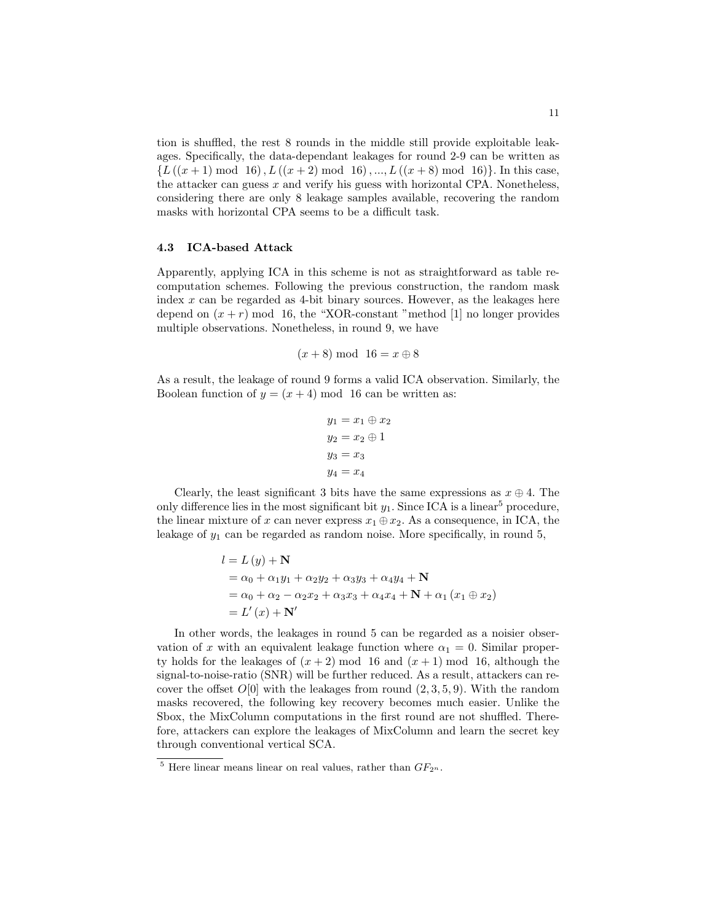tion is shuffled, the rest 8 rounds in the middle still provide exploitable leakages. Specifically, the data-dependant leakages for round 2-9 can be written as  ${L((x + 1) \text{ mod } 16), L((x + 2) \text{ mod } 16), ..., L((x + 8) \text{ mod } 16)}.$  In this case, the attacker can guess  $x$  and verify his guess with horizontal CPA. Nonetheless, considering there are only 8 leakage samples available, recovering the random masks with horizontal CPA seems to be a difficult task.

### 4.3 ICA-based Attack

Apparently, applying ICA in this scheme is not as straightforward as table recomputation schemes. Following the previous construction, the random mask index  $x$  can be regarded as 4-bit binary sources. However, as the leakages here depend on  $(x + r)$  mod 16, the "XOR-constant "method [\[1\]](#page-12-0) no longer provides multiple observations. Nonetheless, in round 9, we have

$$
(x+8) \mod 16 = x \oplus 8
$$

As a result, the leakage of round 9 forms a valid ICA observation. Similarly, the Boolean function of  $y = (x + 4) \text{ mod } 16$  can be written as:

$$
y_1 = x_1 \oplus x_2
$$
  
\n
$$
y_2 = x_2 \oplus 1
$$
  
\n
$$
y_3 = x_3
$$
  
\n
$$
y_4 = x_4
$$

Clearly, the least significant 3 bits have the same expressions as  $x \oplus 4$ . The only difference lies in the most significant bit  $y_1$ . Since ICA is a linear<sup>[5](#page-10-0)</sup> procedure, the linear mixture of x can never express  $x_1 \oplus x_2$ . As a consequence, in ICA, the leakage of  $y_1$  can be regarded as random noise. More specifically, in round 5,

$$
l = L(y) + N
$$
  
=  $\alpha_0 + \alpha_1 y_1 + \alpha_2 y_2 + \alpha_3 y_3 + \alpha_4 y_4 + N$   
=  $\alpha_0 + \alpha_2 - \alpha_2 x_2 + \alpha_3 x_3 + \alpha_4 x_4 + N + \alpha_1 (x_1 \oplus x_2)$   
= L'(x) + N'

In other words, the leakages in round 5 can be regarded as a noisier observation of x with an equivalent leakage function where  $\alpha_1 = 0$ . Similar property holds for the leakages of  $(x + 2)$  mod 16 and  $(x + 1)$  mod 16, although the signal-to-noise-ratio (SNR) will be further reduced. As a result, attackers can recover the offset  $O[0]$  with the leakages from round  $(2, 3, 5, 9)$ . With the random masks recovered, the following key recovery becomes much easier. Unlike the Sbox, the MixColumn computations in the first round are not shuffled. Therefore, attackers can explore the leakages of MixColumn and learn the secret key through conventional vertical SCA.

<span id="page-10-0"></span><sup>&</sup>lt;sup>5</sup> Here linear means linear on real values, rather than  $GF_{2^n}$ .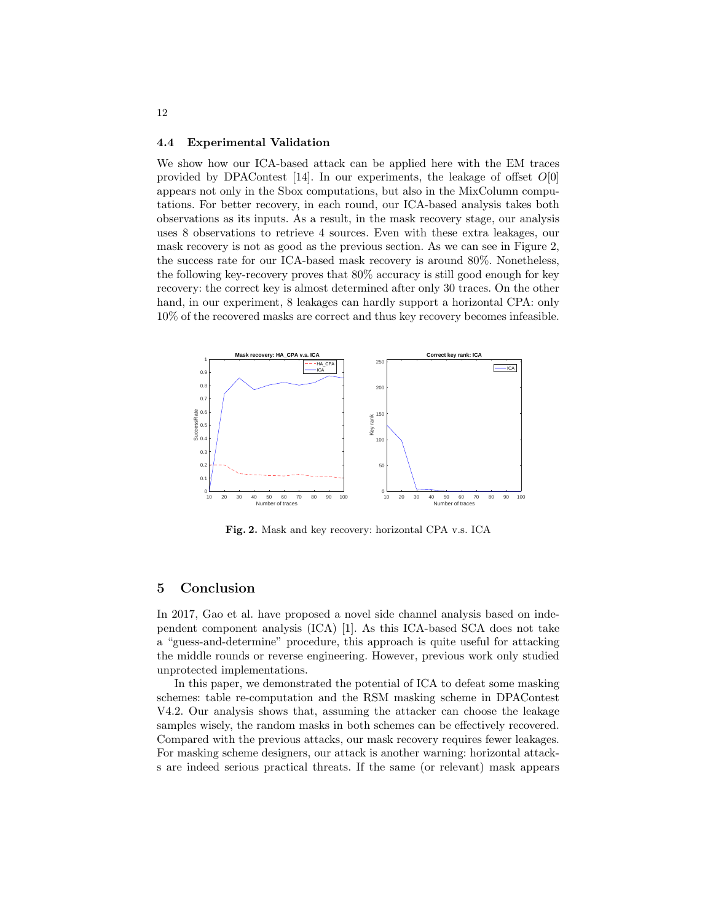#### 4.4 Experimental Validation

We show how our ICA-based attack can be applied here with the EM traces provided by DPAContest [\[14\]](#page-13-4). In our experiments, the leakage of offset  $O[0]$ appears not only in the Sbox computations, but also in the MixColumn computations. For better recovery, in each round, our ICA-based analysis takes both observations as its inputs. As a result, in the mask recovery stage, our analysis uses 8 observations to retrieve 4 sources. Even with these extra leakages, our mask recovery is not as good as the previous section. As we can see in Figure 2, the success rate for our ICA-based mask recovery is around 80%. Nonetheless, the following key-recovery proves that 80% accuracy is still good enough for key recovery: the correct key is almost determined after only 30 traces. On the other hand, in our experiment, 8 leakages can hardly support a horizontal CPA: only 10% of the recovered masks are correct and thus key recovery becomes infeasible.



Fig. 2. Mask and key recovery: horizontal CPA v.s. ICA

# 5 Conclusion

In 2017, Gao et al. have proposed a novel side channel analysis based on independent component analysis (ICA) [\[1\]](#page-12-0). As this ICA-based SCA does not take a "guess-and-determine" procedure, this approach is quite useful for attacking the middle rounds or reverse engineering. However, previous work only studied unprotected implementations.

In this paper, we demonstrated the potential of ICA to defeat some masking schemes: table re-computation and the RSM masking scheme in DPAContest V4.2. Our analysis shows that, assuming the attacker can choose the leakage samples wisely, the random masks in both schemes can be effectively recovered. Compared with the previous attacks, our mask recovery requires fewer leakages. For masking scheme designers, our attack is another warning: horizontal attacks are indeed serious practical threats. If the same (or relevant) mask appears

12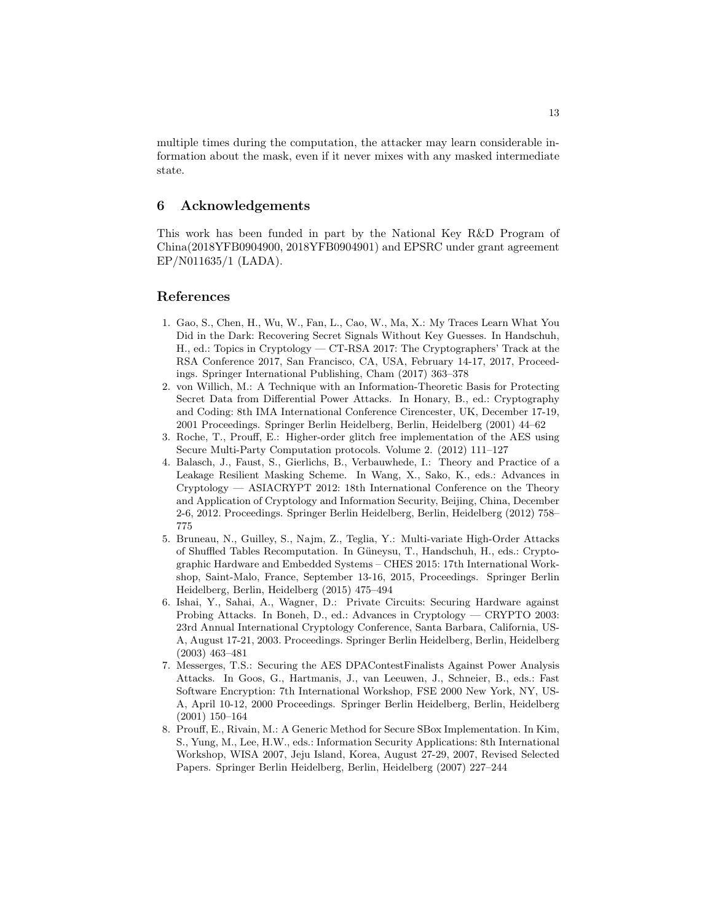multiple times during the computation, the attacker may learn considerable information about the mask, even if it never mixes with any masked intermediate state.

# 6 Acknowledgements

This work has been funded in part by the National Key R&D Program of China(2018YFB0904900, 2018YFB0904901) and EPSRC under grant agreement EP/N011635/1 (LADA).

# References

- <span id="page-12-0"></span>1. Gao, S., Chen, H., Wu, W., Fan, L., Cao, W., Ma, X.: My Traces Learn What You Did in the Dark: Recovering Secret Signals Without Key Guesses. In Handschuh, H., ed.: Topics in Cryptology — CT-RSA 2017: The Cryptographers' Track at the RSA Conference 2017, San Francisco, CA, USA, February 14-17, 2017, Proceedings. Springer International Publishing, Cham (2017) 363–378
- <span id="page-12-1"></span>2. von Willich, M.: A Technique with an Information-Theoretic Basis for Protecting Secret Data from Differential Power Attacks. In Honary, B., ed.: Cryptography and Coding: 8th IMA International Conference Cirencester, UK, December 17-19, 2001 Proceedings. Springer Berlin Heidelberg, Berlin, Heidelberg (2001) 44–62
- <span id="page-12-2"></span>3. Roche, T., Prouff, E.: Higher-order glitch free implementation of the AES using Secure Multi-Party Computation protocols. Volume 2. (2012) 111–127
- <span id="page-12-3"></span>4. Balasch, J., Faust, S., Gierlichs, B., Verbauwhede, I.: Theory and Practice of a Leakage Resilient Masking Scheme. In Wang, X., Sako, K., eds.: Advances in Cryptology — ASIACRYPT 2012: 18th International Conference on the Theory and Application of Cryptology and Information Security, Beijing, China, December 2-6, 2012. Proceedings. Springer Berlin Heidelberg, Berlin, Heidelberg (2012) 758– 775
- <span id="page-12-4"></span>5. Bruneau, N., Guilley, S., Najm, Z., Teglia, Y.: Multi-variate High-Order Attacks of Shuffled Tables Recomputation. In Güneysu, T., Handschuh, H., eds.: Cryptographic Hardware and Embedded Systems – CHES 2015: 17th International Workshop, Saint-Malo, France, September 13-16, 2015, Proceedings. Springer Berlin Heidelberg, Berlin, Heidelberg (2015) 475–494
- <span id="page-12-5"></span>6. Ishai, Y., Sahai, A., Wagner, D.: Private Circuits: Securing Hardware against Probing Attacks. In Boneh, D., ed.: Advances in Cryptology — CRYPTO 2003: 23rd Annual International Cryptology Conference, Santa Barbara, California, US-A, August 17-21, 2003. Proceedings. Springer Berlin Heidelberg, Berlin, Heidelberg (2003) 463–481
- <span id="page-12-6"></span>7. Messerges, T.S.: Securing the AES DPAContestFinalists Against Power Analysis Attacks. In Goos, G., Hartmanis, J., van Leeuwen, J., Schneier, B., eds.: Fast Software Encryption: 7th International Workshop, FSE 2000 New York, NY, US-A, April 10-12, 2000 Proceedings. Springer Berlin Heidelberg, Berlin, Heidelberg (2001) 150–164
- <span id="page-12-7"></span>8. Prouff, E., Rivain, M.: A Generic Method for Secure SBox Implementation. In Kim, S., Yung, M., Lee, H.W., eds.: Information Security Applications: 8th International Workshop, WISA 2007, Jeju Island, Korea, August 27-29, 2007, Revised Selected Papers. Springer Berlin Heidelberg, Berlin, Heidelberg (2007) 227–244